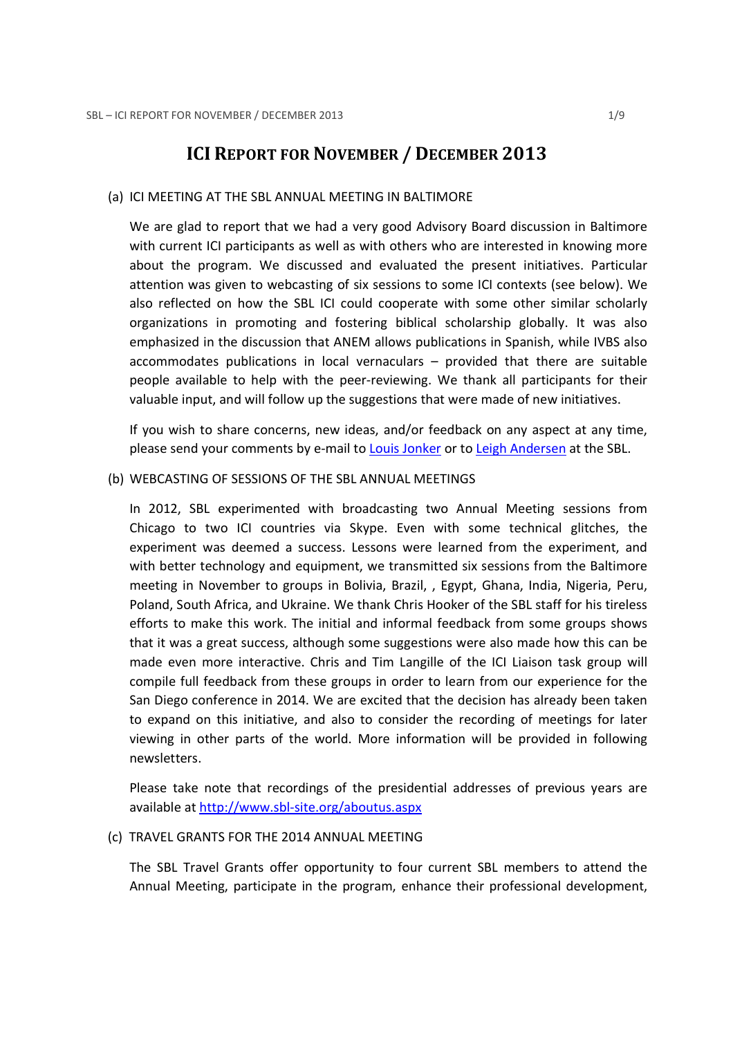# ICI REPORT FOR NOVEMBER / DECEMBER 2013

#### (a) ICI MEETING AT THE SBL ANNUAL MEETING IN BALTIMORE

We are glad to report that we had a very good Advisory Board discussion in Baltimore with current ICI participants as well as with others who are interested in knowing more about the program. We discussed and evaluated the present initiatives. Particular attention was given to webcasting of six sessions to some ICI contexts (see below). We also reflected on how the SBL ICI could cooperate with some other similar scholarly organizations in promoting and fostering biblical scholarship globally. It was also emphasized in the discussion that ANEM allows publications in Spanish, while IVBS also accommodates publications in local vernaculars – provided that there are suitable people available to help with the peer-reviewing. We thank all participants for their valuable input, and will follow up the suggestions that were made of new initiatives.

If you wish to share concerns, new ideas, and/or feedback on any aspect at any time, please send your comments by e-mail to Louis Jonker or to Leigh Andersen at the SBL.

#### (b) WEBCASTING OF SESSIONS OF THE SBL ANNUAL MEETINGS

In 2012, SBL experimented with broadcasting two Annual Meeting sessions from Chicago to two ICI countries via Skype. Even with some technical glitches, the experiment was deemed a success. Lessons were learned from the experiment, and with better technology and equipment, we transmitted six sessions from the Baltimore meeting in November to groups in Bolivia, Brazil, , Egypt, Ghana, India, Nigeria, Peru, Poland, South Africa, and Ukraine. We thank Chris Hooker of the SBL staff for his tireless efforts to make this work. The initial and informal feedback from some groups shows that it was a great success, although some suggestions were also made how this can be made even more interactive. Chris and Tim Langille of the ICI Liaison task group will compile full feedback from these groups in order to learn from our experience for the San Diego conference in 2014. We are excited that the decision has already been taken to expand on this initiative, and also to consider the recording of meetings for later viewing in other parts of the world. More information will be provided in following newsletters.

Please take note that recordings of the presidential addresses of previous years are available at http://www.sbl-site.org/aboutus.aspx

#### (c) TRAVEL GRANTS FOR THE 2014 ANNUAL MEETING

The SBL Travel Grants offer opportunity to four current SBL members to attend the Annual Meeting, participate in the program, enhance their professional development,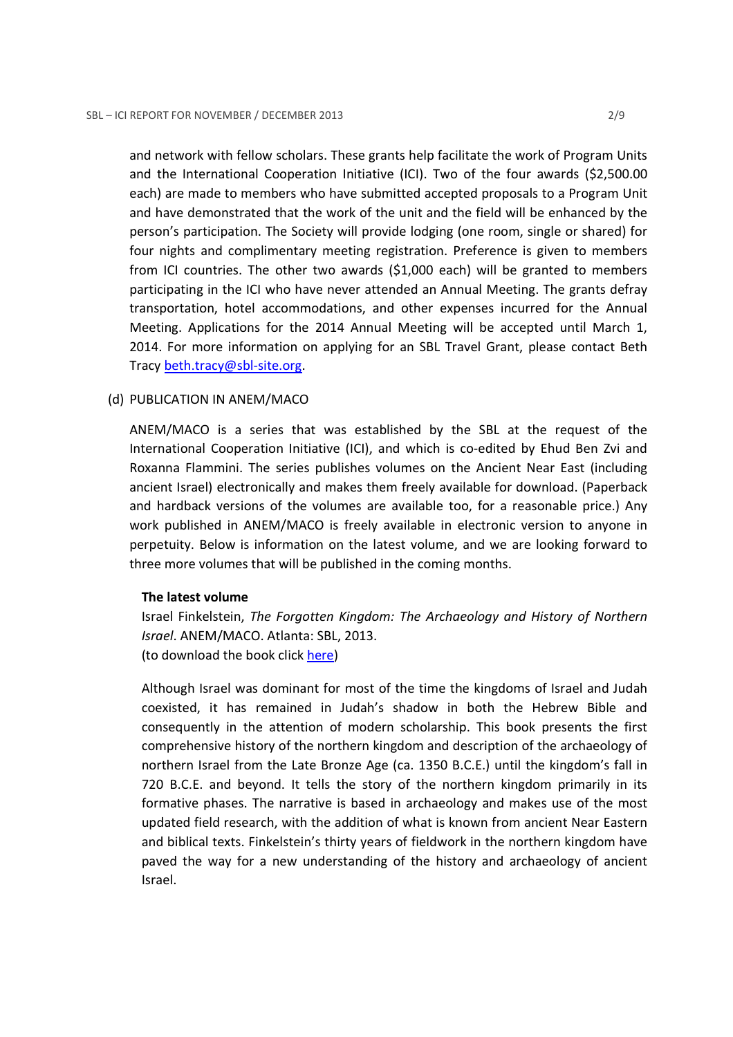and network with fellow scholars. These grants help facilitate the work of Program Units and the International Cooperation Initiative (ICI). Two of the four awards (\$2,500.00 each) are made to members who have submitted accepted proposals to a Program Unit and have demonstrated that the work of the unit and the field will be enhanced by the person's participation. The Society will provide lodging (one room, single or shared) for four nights and complimentary meeting registration. Preference is given to members from ICI countries. The other two awards (\$1,000 each) will be granted to members participating in the ICI who have never attended an Annual Meeting. The grants defray transportation, hotel accommodations, and other expenses incurred for the Annual Meeting. Applications for the 2014 Annual Meeting will be accepted until March 1, 2014. For more information on applying for an SBL Travel Grant, please contact Beth Tracy beth.tracy@sbl-site.org.

#### (d) PUBLICATION IN ANEM/MACO

ANEM/MACO is a series that was established by the SBL at the request of the International Cooperation Initiative (ICI), and which is co-edited by Ehud Ben Zvi and Roxanna Flammini. The series publishes volumes on the Ancient Near East (including ancient Israel) electronically and makes them freely available for download. (Paperback and hardback versions of the volumes are available too, for a reasonable price.) Any work published in ANEM/MACO is freely available in electronic version to anyone in perpetuity. Below is information on the latest volume, and we are looking forward to three more volumes that will be published in the coming months.

#### The latest volume

Israel Finkelstein, The Forgotten Kingdom: The Archaeology and History of Northern Israel. ANEM/MACO. Atlanta: SBL, 2013. (to download the book click here)

Although Israel was dominant for most of the time the kingdoms of Israel and Judah coexisted, it has remained in Judah's shadow in both the Hebrew Bible and consequently in the attention of modern scholarship. This book presents the first comprehensive history of the northern kingdom and description of the archaeology of northern Israel from the Late Bronze Age (ca. 1350 B.C.E.) until the kingdom's fall in 720 B.C.E. and beyond. It tells the story of the northern kingdom primarily in its formative phases. The narrative is based in archaeology and makes use of the most updated field research, with the addition of what is known from ancient Near Eastern and biblical texts. Finkelstein's thirty years of fieldwork in the northern kingdom have paved the way for a new understanding of the history and archaeology of ancient Israel.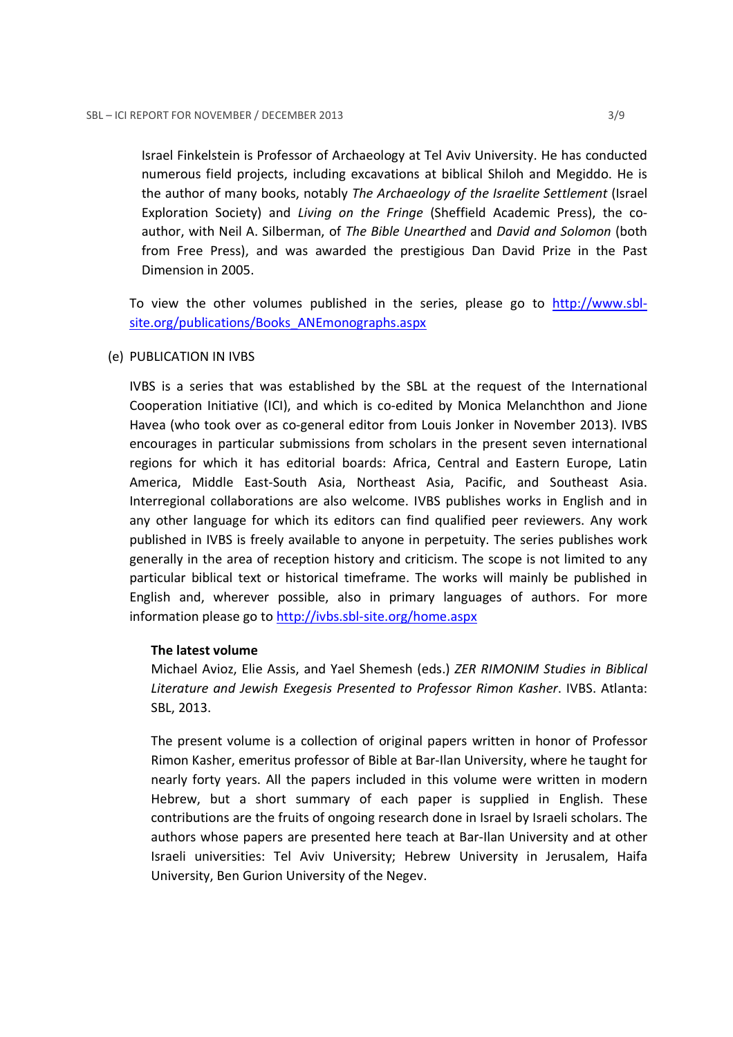Israel Finkelstein is Professor of Archaeology at Tel Aviv University. He has conducted numerous field projects, including excavations at biblical Shiloh and Megiddo. He is the author of many books, notably The Archaeology of the Israelite Settlement (Israel Exploration Society) and Living on the Fringe (Sheffield Academic Press), the coauthor, with Neil A. Silberman, of The Bible Unearthed and David and Solomon (both from Free Press), and was awarded the prestigious Dan David Prize in the Past Dimension in 2005.

To view the other volumes published in the series, please go to http://www.sblsite.org/publications/Books\_ANEmonographs.aspx

# (e) PUBLICATION IN IVBS

IVBS is a series that was established by the SBL at the request of the International Cooperation Initiative (ICI), and which is co-edited by Monica Melanchthon and Jione Havea (who took over as co-general editor from Louis Jonker in November 2013). IVBS encourages in particular submissions from scholars in the present seven international regions for which it has editorial boards: Africa, Central and Eastern Europe, Latin America, Middle East-South Asia, Northeast Asia, Pacific, and Southeast Asia. Interregional collaborations are also welcome. IVBS publishes works in English and in any other language for which its editors can find qualified peer reviewers. Any work published in IVBS is freely available to anyone in perpetuity. The series publishes work generally in the area of reception history and criticism. The scope is not limited to any particular biblical text or historical timeframe. The works will mainly be published in English and, wherever possible, also in primary languages of authors. For more information please go to http://ivbs.sbl-site.org/home.aspx

# The latest volume

Michael Avioz, Elie Assis, and Yael Shemesh (eds.) ZER RIMONIM Studies in Biblical Literature and Jewish Exegesis Presented to Professor Rimon Kasher. IVBS. Atlanta: SBL, 2013.

The present volume is a collection of original papers written in honor of Professor Rimon Kasher, emeritus professor of Bible at Bar-Ilan University, where he taught for nearly forty years. All the papers included in this volume were written in modern Hebrew, but a short summary of each paper is supplied in English. These contributions are the fruits of ongoing research done in Israel by Israeli scholars. The authors whose papers are presented here teach at Bar-Ilan University and at other Israeli universities: Tel Aviv University; Hebrew University in Jerusalem, Haifa University, Ben Gurion University of the Negev.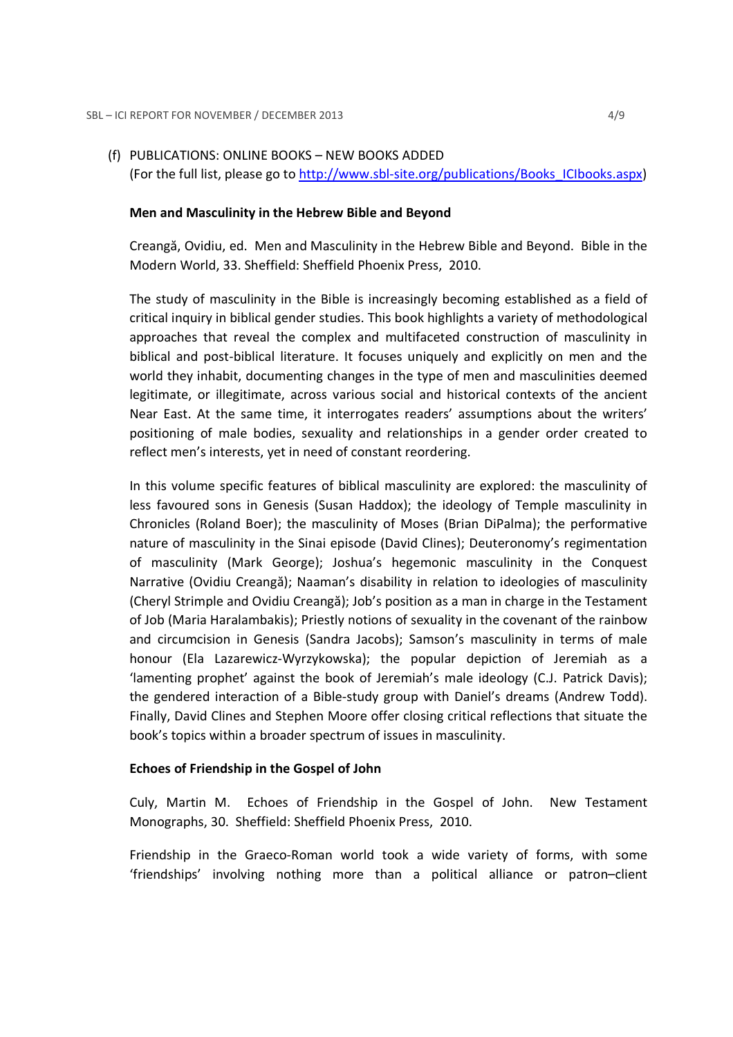#### (f) PUBLICATIONS: ONLINE BOOKS – NEW BOOKS ADDED

(For the full list, please go to http://www.sbl-site.org/publications/Books\_ICIbooks.aspx)

#### Men and Masculinity in the Hebrew Bible and Beyond

Creangă, Ovidiu, ed. Men and Masculinity in the Hebrew Bible and Beyond. Bible in the Modern World, 33. Sheffield: Sheffield Phoenix Press, 2010.

The study of masculinity in the Bible is increasingly becoming established as a field of critical inquiry in biblical gender studies. This book highlights a variety of methodological approaches that reveal the complex and multifaceted construction of masculinity in biblical and post-biblical literature. It focuses uniquely and explicitly on men and the world they inhabit, documenting changes in the type of men and masculinities deemed legitimate, or illegitimate, across various social and historical contexts of the ancient Near East. At the same time, it interrogates readers' assumptions about the writers' positioning of male bodies, sexuality and relationships in a gender order created to reflect men's interests, yet in need of constant reordering.

In this volume specific features of biblical masculinity are explored: the masculinity of less favoured sons in Genesis (Susan Haddox); the ideology of Temple masculinity in Chronicles (Roland Boer); the masculinity of Moses (Brian DiPalma); the performative nature of masculinity in the Sinai episode (David Clines); Deuteronomy's regimentation of masculinity (Mark George); Joshua's hegemonic masculinity in the Conquest Narrative (Ovidiu Creangă); Naaman's disability in relation to ideologies of masculinity (Cheryl Strimple and Ovidiu Creangă); Job's position as a man in charge in the Testament of Job (Maria Haralambakis); Priestly notions of sexuality in the covenant of the rainbow and circumcision in Genesis (Sandra Jacobs); Samson's masculinity in terms of male honour (Ela Lazarewicz-Wyrzykowska); the popular depiction of Jeremiah as a 'lamenting prophet' against the book of Jeremiah's male ideology (C.J. Patrick Davis); the gendered interaction of a Bible-study group with Daniel's dreams (Andrew Todd). Finally, David Clines and Stephen Moore offer closing critical reflections that situate the book's topics within a broader spectrum of issues in masculinity.

#### Echoes of Friendship in the Gospel of John

Culy, Martin M. Echoes of Friendship in the Gospel of John. New Testament Monographs, 30. Sheffield: Sheffield Phoenix Press, 2010.

Friendship in the Graeco-Roman world took a wide variety of forms, with some 'friendships' involving nothing more than a political alliance or patron–client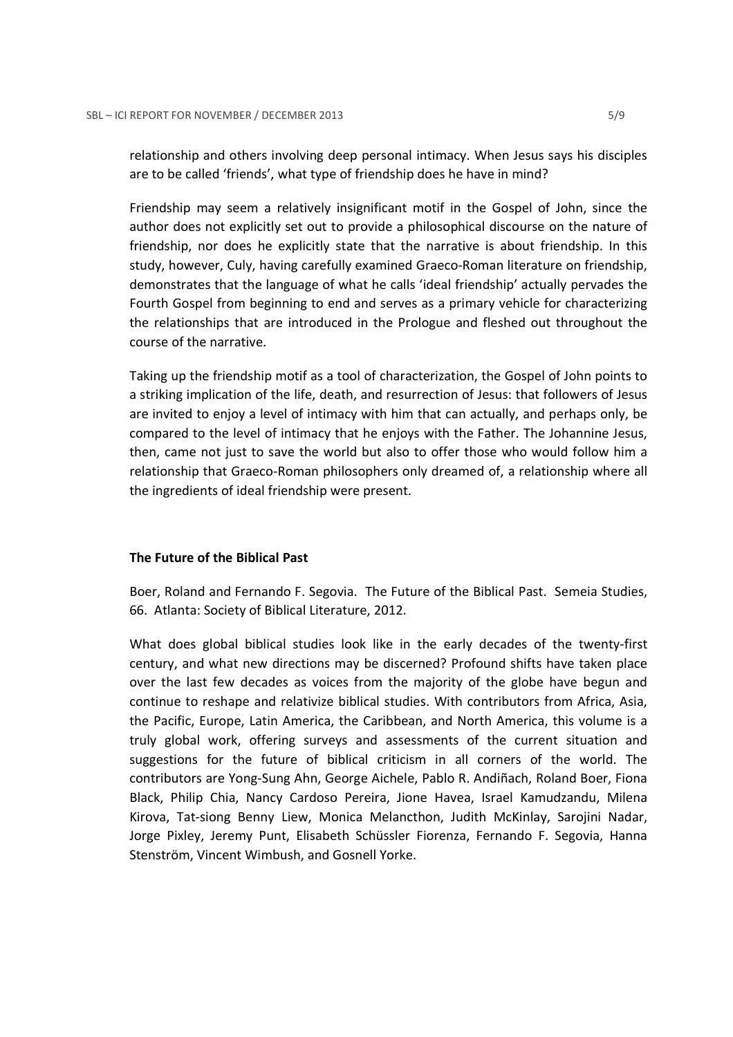relationship and others involving deep personal intimacy. When Jesus says his disciples are to be called 'friends', what type of friendship does he have in mind?

Friendship may seem a relatively insignificant motif in the Gospel of John, since the author does not explicitly set out to provide a philosophical discourse on the nature of friendship, nor does he explicitly state that the narrative is about friendship. In this study, however, Culy, having carefully examined Graeco-Roman literature on friendship, demonstrates that the language of what he calls 'ideal friendship' actually pervades the Fourth Gospel from beginning to end and serves as a primary vehicle for characterizing the relationships that are introduced in the Prologue and fleshed out throughout the course of the narrative.

Taking up the friendship motif as a tool of characterization, the Gospel of John points to a striking implication of the life, death, and resurrection of Jesus: that followers of Jesus are invited to enjoy a level of intimacy with him that can actually, and perhaps only, be compared to the level of intimacy that he enjoys with the Father. The Johannine Jesus, then, came not just to save the world but also to offer those who would follow him a relationship that Graeco-Roman philosophers only dreamed of, a relationship where all the ingredients of ideal friendship were present.

# The Future of the Biblical Past

Boer, Roland and Fernando F. Segovia. The Future of the Biblical Past. Semeia Studies, 66. Atlanta: Society of Biblical Literature, 2012.

What does global biblical studies look like in the early decades of the twenty-first century, and what new directions may be discerned? Profound shifts have taken place over the last few decades as voices from the majority of the globe have begun and continue to reshape and relativize biblical studies. With contributors from Africa, Asia, the Pacific, Europe, Latin America, the Caribbean, and North America, this volume is a truly global work, offering surveys and assessments of the current situation and suggestions for the future of biblical criticism in all corners of the world. The contributors are Yong-Sung Ahn, George Aichele, Pablo R. Andiñach, Roland Boer, Fiona Black, Philip Chia, Nancy Cardoso Pereira, Jione Havea, Israel Kamudzandu, Milena Kirova, Tat-siong Benny Liew, Monica Melancthon, Judith McKinlay, Sarojini Nadar, Jorge Pixley, Jeremy Punt, Elisabeth Schüssler Fiorenza, Fernando F. Segovia, Hanna Stenström, Vincent Wimbush, and Gosnell Yorke.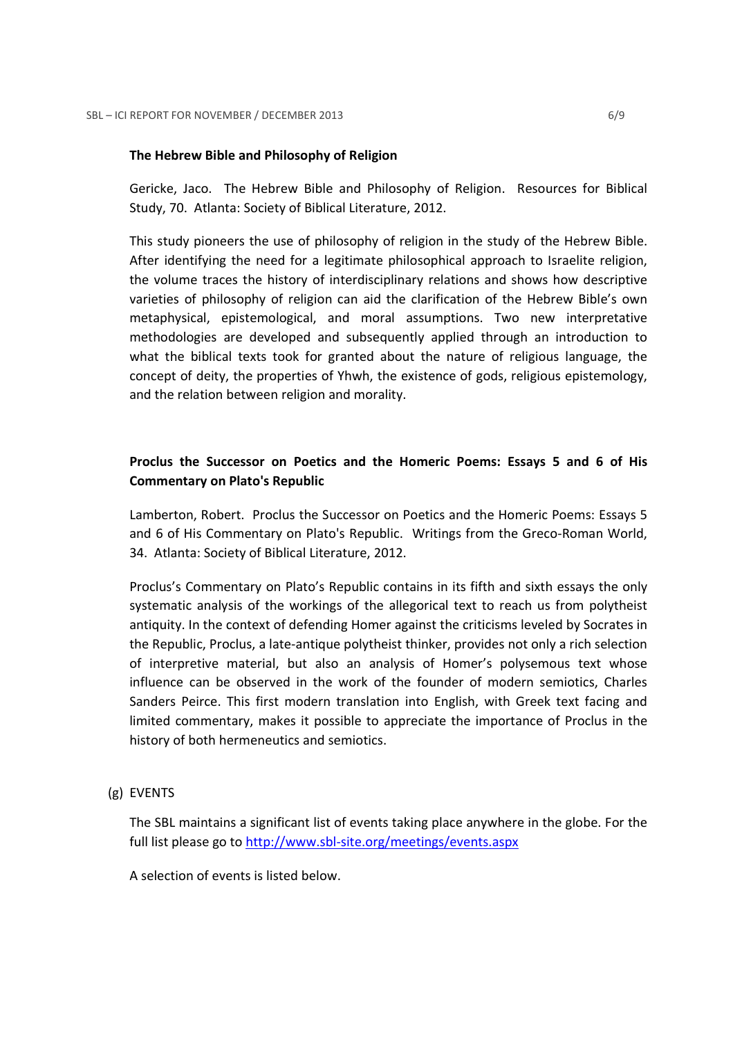#### The Hebrew Bible and Philosophy of Religion

Gericke, Jaco. The Hebrew Bible and Philosophy of Religion. Resources for Biblical Study, 70. Atlanta: Society of Biblical Literature, 2012.

This study pioneers the use of philosophy of religion in the study of the Hebrew Bible. After identifying the need for a legitimate philosophical approach to Israelite religion, the volume traces the history of interdisciplinary relations and shows how descriptive varieties of philosophy of religion can aid the clarification of the Hebrew Bible's own metaphysical, epistemological, and moral assumptions. Two new interpretative methodologies are developed and subsequently applied through an introduction to what the biblical texts took for granted about the nature of religious language, the concept of deity, the properties of Yhwh, the existence of gods, religious epistemology, and the relation between religion and morality.

# Proclus the Successor on Poetics and the Homeric Poems: Essays 5 and 6 of His Commentary on Plato's Republic

Lamberton, Robert. Proclus the Successor on Poetics and the Homeric Poems: Essays 5 and 6 of His Commentary on Plato's Republic. Writings from the Greco-Roman World, 34. Atlanta: Society of Biblical Literature, 2012.

Proclus's Commentary on Plato's Republic contains in its fifth and sixth essays the only systematic analysis of the workings of the allegorical text to reach us from polytheist antiquity. In the context of defending Homer against the criticisms leveled by Socrates in the Republic, Proclus, a late-antique polytheist thinker, provides not only a rich selection of interpretive material, but also an analysis of Homer's polysemous text whose influence can be observed in the work of the founder of modern semiotics, Charles Sanders Peirce. This first modern translation into English, with Greek text facing and limited commentary, makes it possible to appreciate the importance of Proclus in the history of both hermeneutics and semiotics.

# (g) EVENTS

The SBL maintains a significant list of events taking place anywhere in the globe. For the full list please go to http://www.sbl-site.org/meetings/events.aspx

A selection of events is listed below.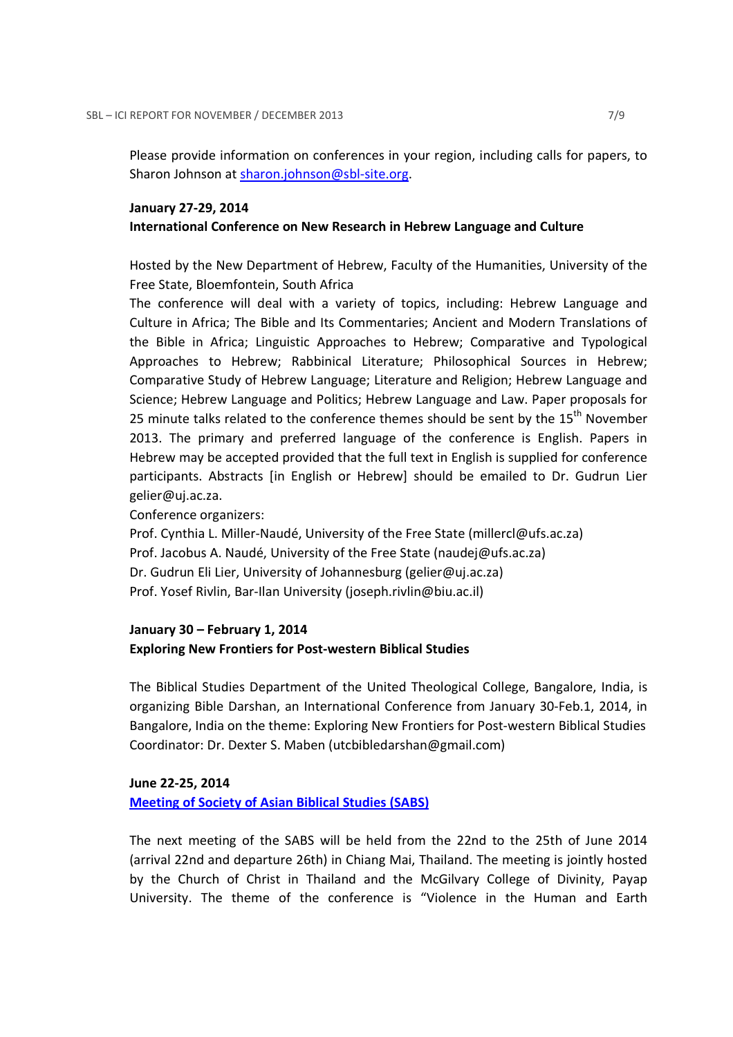Please provide information on conferences in your region, including calls for papers, to Sharon Johnson at sharon.johnson@sbl-site.org.

#### January 27-29, 2014

#### International Conference on New Research in Hebrew Language and Culture

Hosted by the New Department of Hebrew, Faculty of the Humanities, University of the Free State, Bloemfontein, South Africa

The conference will deal with a variety of topics, including: Hebrew Language and Culture in Africa; The Bible and Its Commentaries; Ancient and Modern Translations of the Bible in Africa; Linguistic Approaches to Hebrew; Comparative and Typological Approaches to Hebrew; Rabbinical Literature; Philosophical Sources in Hebrew; Comparative Study of Hebrew Language; Literature and Religion; Hebrew Language and Science; Hebrew Language and Politics; Hebrew Language and Law. Paper proposals for 25 minute talks related to the conference themes should be sent by the 15<sup>th</sup> November 2013. The primary and preferred language of the conference is English. Papers in Hebrew may be accepted provided that the full text in English is supplied for conference participants. Abstracts [in English or Hebrew] should be emailed to Dr. Gudrun Lier gelier@uj.ac.za.

Conference organizers:

Prof. Cynthia L. Miller-Naudé, University of the Free State (millercl@ufs.ac.za) Prof. Jacobus A. Naudé, University of the Free State (naudej@ufs.ac.za) Dr. Gudrun Eli Lier, University of Johannesburg (gelier@uj.ac.za) Prof. Yosef Rivlin, Bar-Ilan University (joseph.rivlin@biu.ac.il)

# January 30 – February 1, 2014 Exploring New Frontiers for Post-western Biblical Studies

The Biblical Studies Department of the United Theological College, Bangalore, India, is organizing Bible Darshan, an International Conference from January 30-Feb.1, 2014, in Bangalore, India on the theme: Exploring New Frontiers for Post-western Biblical Studies Coordinator: Dr. Dexter S. Maben (utcbibledarshan@gmail.com)

#### June 22-25, 2014

Meeting of Society of Asian Biblical Studies (SABS)

The next meeting of the SABS will be held from the 22nd to the 25th of June 2014 (arrival 22nd and departure 26th) in Chiang Mai, Thailand. The meeting is jointly hosted by the Church of Christ in Thailand and the McGilvary College of Divinity, Payap University. The theme of the conference is "Violence in the Human and Earth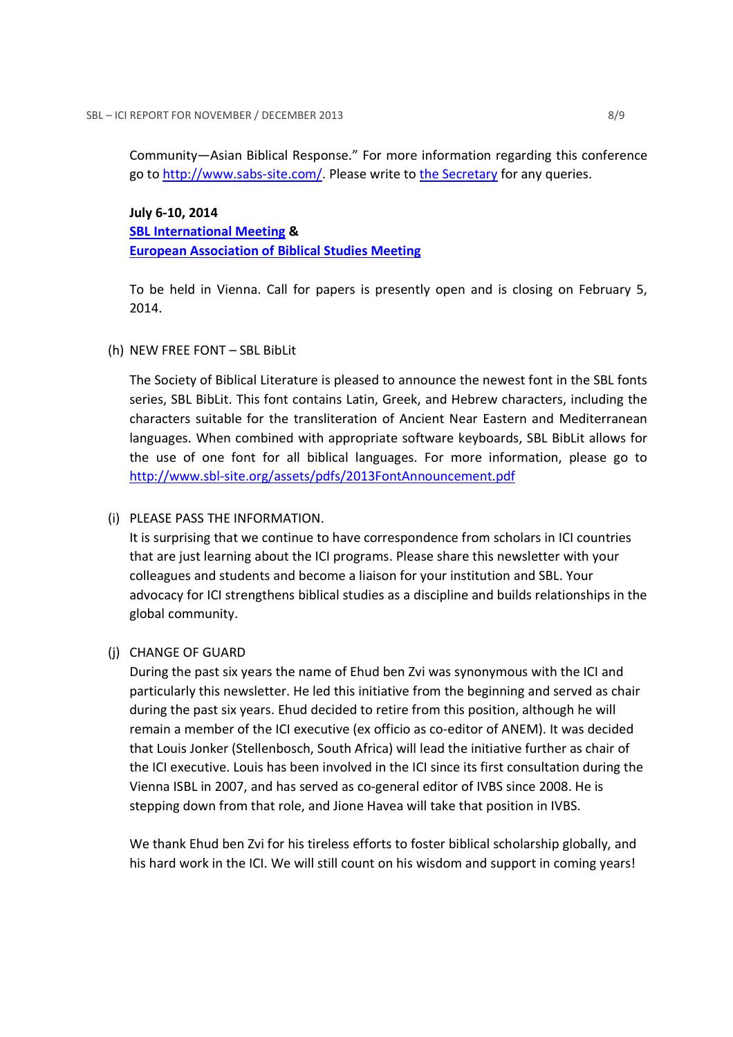Community—Asian Biblical Response." For more information regarding this conference go to http://www.sabs-site.com/. Please write to the Secretary for any queries.

# July 6-10, 2014 SBL International Meeting & European Association of Biblical Studies Meeting

To be held in Vienna. Call for papers is presently open and is closing on February 5, 2014.

# (h) NEW FREE FONT – SBL BibLit

The Society of Biblical Literature is pleased to announce the newest font in the SBL fonts series, SBL BibLit. This font contains Latin, Greek, and Hebrew characters, including the characters suitable for the transliteration of Ancient Near Eastern and Mediterranean languages. When combined with appropriate software keyboards, SBL BibLit allows for the use of one font for all biblical languages. For more information, please go to http://www.sbl-site.org/assets/pdfs/2013FontAnnouncement.pdf

# (i) PLEASE PASS THE INFORMATION.

It is surprising that we continue to have correspondence from scholars in ICI countries that are just learning about the ICI programs. Please share this newsletter with your colleagues and students and become a liaison for your institution and SBL. Your advocacy for ICI strengthens biblical studies as a discipline and builds relationships in the global community.

# (j) CHANGE OF GUARD

During the past six years the name of Ehud ben Zvi was synonymous with the ICI and particularly this newsletter. He led this initiative from the beginning and served as chair during the past six years. Ehud decided to retire from this position, although he will remain a member of the ICI executive (ex officio as co-editor of ANEM). It was decided that Louis Jonker (Stellenbosch, South Africa) will lead the initiative further as chair of the ICI executive. Louis has been involved in the ICI since its first consultation during the Vienna ISBL in 2007, and has served as co-general editor of IVBS since 2008. He is stepping down from that role, and Jione Havea will take that position in IVBS.

We thank Ehud ben Zvi for his tireless efforts to foster biblical scholarship globally, and his hard work in the ICI. We will still count on his wisdom and support in coming years!